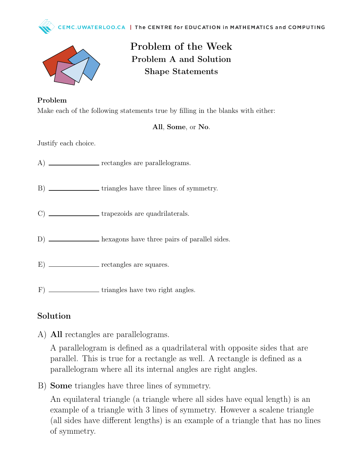



## Problem of the Week Problem A and Solution Shape Statements

Problem Make each of the following statements true by filling in the blanks with either:

## All, Some, or No.

Justify each choice.

- A) \_\_\_\_\_\_\_\_\_\_\_\_\_\_ rectangles are parallelograms.
- B) \_\_\_\_\_\_\_\_\_\_\_\_\_\_\_\_\_ triangles have three lines of symmetry.
- C) \_\_\_\_\_\_\_\_\_\_\_\_\_\_\_\_\_trapezoids are quadrilaterals.
- D) **hexagons** have three pairs of parallel sides.
- E) \_\_\_\_\_\_\_\_\_\_\_\_\_\_ rectangles are squares.
- F) \_\_\_\_\_\_\_\_\_\_\_\_\_\_\_\_\_ triangles have two right angles.

## Solution

A) All rectangles are parallelograms.

A parallelogram is defined as a quadrilateral with opposite sides that are parallel. This is true for a rectangle as well. A rectangle is defined as a parallelogram where all its internal angles are right angles.

B) Some triangles have three lines of symmetry.

An equilateral triangle (a triangle where all sides have equal length) is an example of a triangle with 3 lines of symmetry. However a scalene triangle (all sides have different lengths) is an example of a triangle that has no lines of symmetry.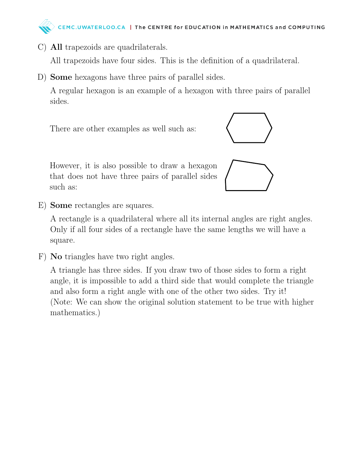

C) All trapezoids are quadrilaterals.

All trapezoids have four sides. This is the definition of a quadrilateral.

D) Some hexagons have three pairs of parallel sides.

A regular hexagon is an example of a hexagon with three pairs of parallel sides.

There are other examples as well such as:



However, it is also possible to draw a hexagon that does not have three pairs of parallel sides such as:



E) Some rectangles are squares.

A rectangle is a quadrilateral where all its internal angles are right angles. Only if all four sides of a rectangle have the same lengths we will have a square.

F) No triangles have two right angles.

A triangle has three sides. If you draw two of those sides to form a right angle, it is impossible to add a third side that would complete the triangle and also form a right angle with one of the other two sides. Try it! (Note: We can show the original solution statement to be true with higher mathematics.)